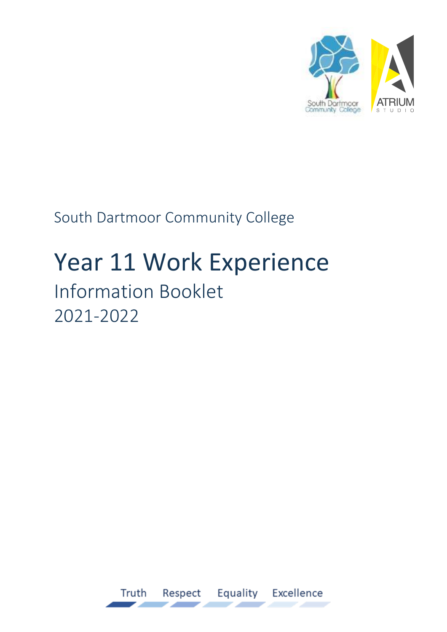

South Dartmoor Community College

# Year 11 Work Experience Information Booklet 2021-2022

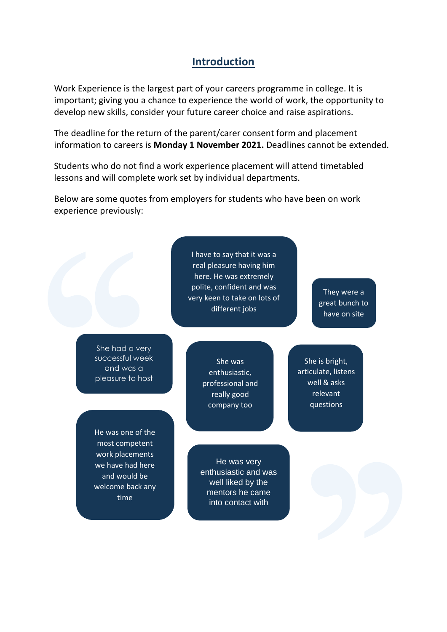#### **Introduction**

Work Experience is the largest part of your careers programme in college. It is important; giving you a chance to experience the world of work, the opportunity to develop new skills, consider your future career choice and raise aspirations.

The deadline for the return of the parent/carer consent form and placement information to careers is **Monday 1 November 2021.** Deadlines cannot be extended.

Students who do not find a work experience placement will attend timetabled lessons and will complete work set by individual departments.

Below are some quotes from employers for students who have been on work experience previously:

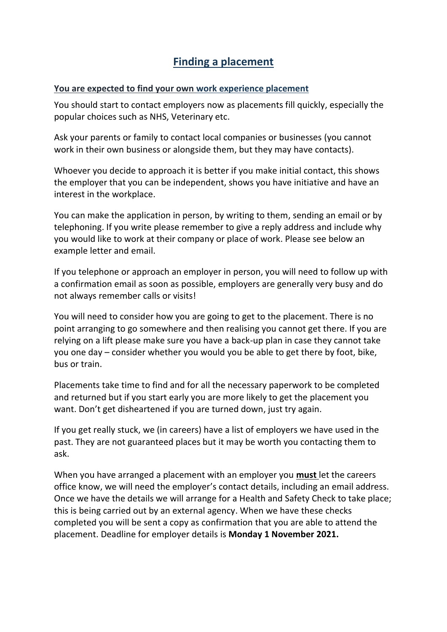## **Finding a placement**

#### **You are expected to find your own work experience placement**

You should start to contact employers now as placements fill quickly, especially the popular choices such as NHS, Veterinary etc.

Ask your parents or family to contact local companies or businesses (you cannot work in their own business or alongside them, but they may have contacts).

Whoever you decide to approach it is better if you make initial contact, this shows the employer that you can be independent, shows you have initiative and have an interest in the workplace.

You can make the application in person, by writing to them, sending an email or by telephoning. If you write please remember to give a reply address and include why you would like to work at their company or place of work. Please see below an example letter and email.

If you telephone or approach an employer in person, you will need to follow up with a confirmation email as soon as possible, employers are generally very busy and do not always remember calls or visits!

You will need to consider how you are going to get to the placement. There is no point arranging to go somewhere and then realising you cannot get there. If you are relying on a lift please make sure you have a back-up plan in case they cannot take you one day – consider whether you would you be able to get there by foot, bike, bus or train.

Placements take time to find and for all the necessary paperwork to be completed and returned but if you start early you are more likely to get the placement you want. Don't get disheartened if you are turned down, just try again.

If you get really stuck, we (in careers) have a list of employers we have used in the past. They are not guaranteed places but it may be worth you contacting them to ask.

When you have arranged a placement with an employer you **must** let the careers office know, we will need the employer's contact details, including an email address. Once we have the details we will arrange for a Health and Safety Check to take place; this is being carried out by an external agency. When we have these checks completed you will be sent a copy as confirmation that you are able to attend the placement. Deadline for employer details is **Monday 1 November 2021.**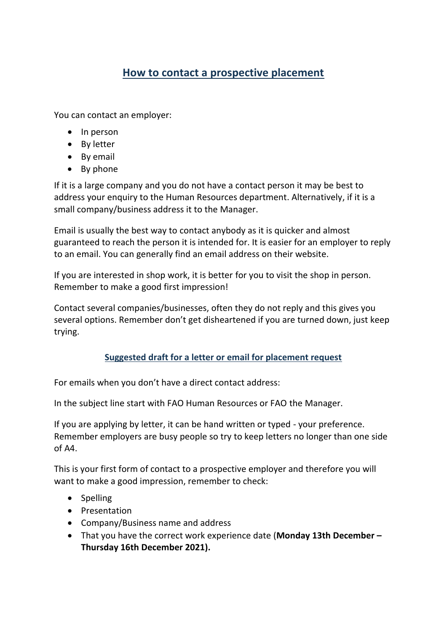## **How to contact a prospective placement**

You can contact an employer:

- $\bullet$  In person
- By letter
- By email
- By phone

If it is a large company and you do not have a contact person it may be best to address your enquiry to the Human Resources department. Alternatively, if it is a small company/business address it to the Manager.

Email is usually the best way to contact anybody as it is quicker and almost guaranteed to reach the person it is intended for. It is easier for an employer to reply to an email. You can generally find an email address on their website.

If you are interested in shop work, it is better for you to visit the shop in person. Remember to make a good first impression!

Contact several companies/businesses, often they do not reply and this gives you several options. Remember don't get disheartened if you are turned down, just keep trying.

#### **Suggested draft for a letter or email for placement request**

For emails when you don't have a direct contact address:

In the subject line start with FAO Human Resources or FAO the Manager.

If you are applying by letter, it can be hand written or typed - your preference. Remember employers are busy people so try to keep letters no longer than one side of A4.

This is your first form of contact to a prospective employer and therefore you will want to make a good impression, remember to check:

- Spelling
- Presentation
- Company/Business name and address
- That you have the correct work experience date (**Monday 13th December – Thursday 16th December 2021).**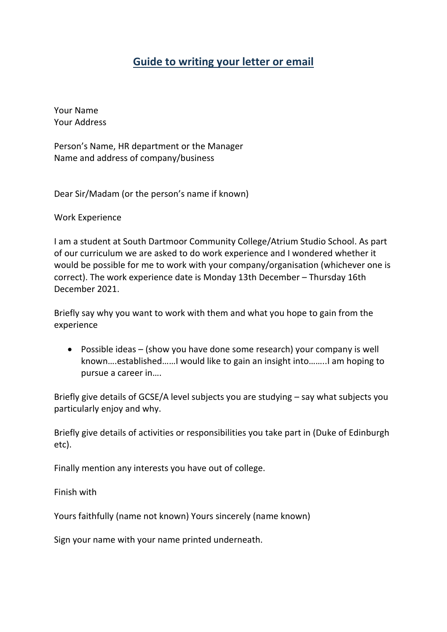### **Guide to writing your letter or email**

Your Name Your Address

Person's Name, HR department or the Manager Name and address of company/business

Dear Sir/Madam (or the person's name if known)

Work Experience

I am a student at South Dartmoor Community College/Atrium Studio School. As part of our curriculum we are asked to do work experience and I wondered whether it would be possible for me to work with your company/organisation (whichever one is correct). The work experience date is Monday 13th December – Thursday 16th December 2021.

Briefly say why you want to work with them and what you hope to gain from the experience

 Possible ideas – (show you have done some research) your company is well known….established……I would like to gain an insight into……..I am hoping to pursue a career in….

Briefly give details of GCSE/A level subjects you are studying – say what subjects you particularly enjoy and why.

Briefly give details of activities or responsibilities you take part in (Duke of Edinburgh etc).

Finally mention any interests you have out of college.

Finish with

Yours faithfully (name not known) Yours sincerely (name known)

Sign your name with your name printed underneath.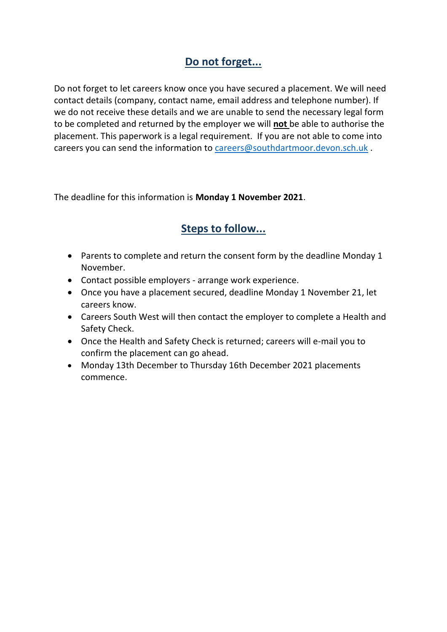## **Do not forget...**

Do not forget to let careers know once you have secured a placement. We will need contact details (company, contact name, email address and telephone number). If we do not receive these details and we are unable to send the necessary legal form to be completed and returned by the employer we will **not** be able to authorise the placement. This paperwork is a legal requirement. If you are not able to come into careers you can send the information to [careers@southdartmoor.devon.sch.uk](mailto:careers@southdartmoor.devon.sch.uk) .

The deadline for this information is **Monday 1 November 2021**.

## **Steps to follow...**

- Parents to complete and return the consent form by the deadline Monday 1 November.
- Contact possible employers arrange work experience.
- Once you have a placement secured, deadline Monday 1 November 21, let careers know.
- Careers South West will then contact the employer to complete a Health and Safety Check.
- Once the Health and Safety Check is returned; careers will e-mail you to confirm the placement can go ahead.
- Monday 13th December to Thursday 16th December 2021 placements commence.